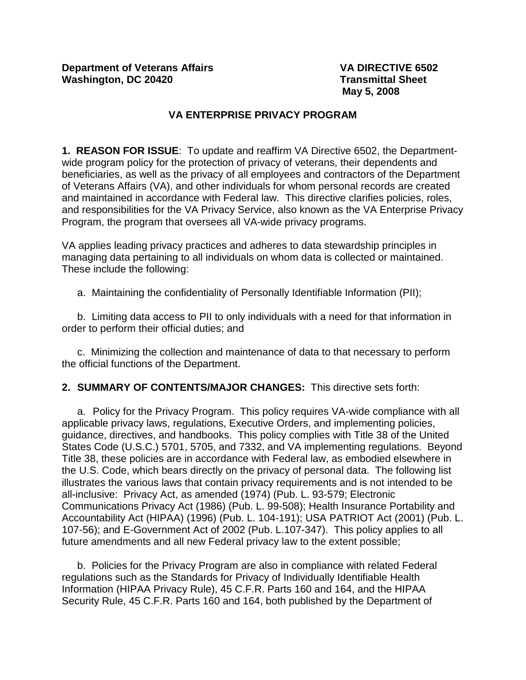# **VA ENTERPRISE PRIVACY PROGRAM**

**1. REASON FOR ISSUE**: To update and reaffirm VA Directive 6502, the Departmentwide program policy for the protection of privacy of veterans, their dependents and beneficiaries, as well as the privacy of all employees and contractors of the Department of Veterans Affairs (VA), and other individuals for whom personal records are created and maintained in accordance with Federal law. This directive clarifies policies, roles, and responsibilities for the VA Privacy Service, also known as the VA Enterprise Privacy Program, the program that oversees all VA-wide privacy programs.

VA applies leading privacy practices and adheres to data stewardship principles in managing data pertaining to all individuals on whom data is collected or maintained. These include the following:

a. Maintaining the confidentiality of Personally Identifiable Information (PII);

b. Limiting data access to PII to only individuals with a need for that information in order to perform their official duties; and

c. Minimizing the collection and maintenance of data to that necessary to perform the official functions of the Department.

**2. SUMMARY OF CONTENTS/MAJOR CHANGES:** This directive sets forth:

a. Policy for the Privacy Program. This policy requires VA-wide compliance with all applicable privacy laws, regulations, Executive Orders, and implementing policies, guidance, directives, and handbooks. This policy complies with Title 38 of the United States Code (U.S.C.) 5701, 5705, and 7332, and VA implementing regulations. Beyond Title 38, these policies are in accordance with Federal law, as embodied elsewhere in the U.S. Code, which bears directly on the privacy of personal data. The following list illustrates the various laws that contain privacy requirements and is not intended to be all-inclusive: Privacy Act, as amended (1974) (Pub. L. 93-579; Electronic Communications Privacy Act (1986) (Pub. L. 99-508); Health Insurance Portability and Accountability Act (HIPAA) (1996) (Pub. L. 104-191); USA PATRIOT Act (2001) (Pub. L. 107-56); and E-Government Act of 2002 (Pub. L.107-347). This policy applies to all future amendments and all new Federal privacy law to the extent possible;

b. Policies for the Privacy Program are also in compliance with related Federal regulations such as the Standards for Privacy of Individually Identifiable Health Information (HIPAA Privacy Rule), 45 C.F.R. Parts 160 and 164, and the HIPAA Security Rule, 45 C.F.R. Parts 160 and 164, both published by the Department of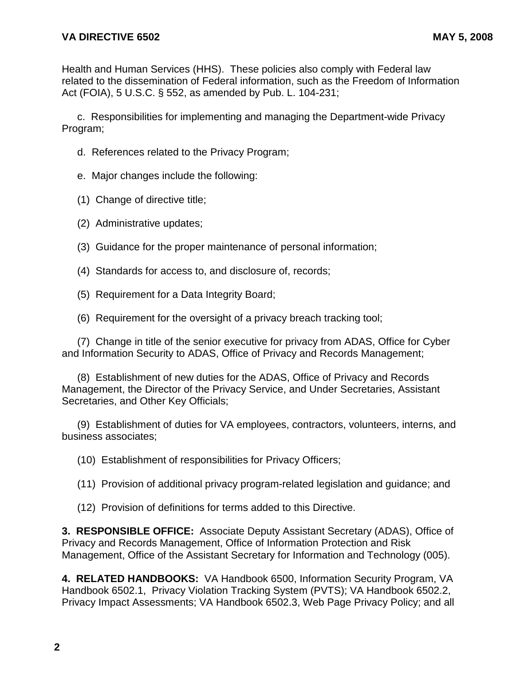Health and Human Services (HHS). These policies also comply with Federal law related to the dissemination of Federal information, such as the Freedom of Information Act (FOIA), 5 U.S.C. § 552, as amended by Pub. L. 104-231;

c. Responsibilities for implementing and managing the Department-wide Privacy Program;

- d. References related to the Privacy Program;
- e. Major changes include the following:
- (1) Change of directive title;
- (2) Administrative updates;
- (3) Guidance for the proper maintenance of personal information;
- (4) Standards for access to, and disclosure of, records;
- (5) Requirement for a Data Integrity Board;
- (6) Requirement for the oversight of a privacy breach tracking tool;

(7) Change in title of the senior executive for privacy from ADAS, Office for Cyber and Information Security to ADAS, Office of Privacy and Records Management;

(8) Establishment of new duties for the ADAS, Office of Privacy and Records Management, the Director of the Privacy Service, and Under Secretaries, Assistant Secretaries, and Other Key Officials;

(9) Establishment of duties for VA employees, contractors, volunteers, interns, and business associates;

(10) Establishment of responsibilities for Privacy Officers;

(11) Provision of additional privacy program-related legislation and guidance; and

(12) Provision of definitions for terms added to this Directive.

**3. RESPONSIBLE OFFICE:** Associate Deputy Assistant Secretary (ADAS), Office of Privacy and Records Management, Office of Information Protection and Risk Management, Office of the Assistant Secretary for Information and Technology (005).

**4. RELATED HANDBOOKS:** VA Handbook 6500, Information Security Program, VA Handbook 6502.1, Privacy Violation Tracking System (PVTS); VA Handbook 6502.2, Privacy Impact Assessments; VA Handbook 6502.3, Web Page Privacy Policy; and all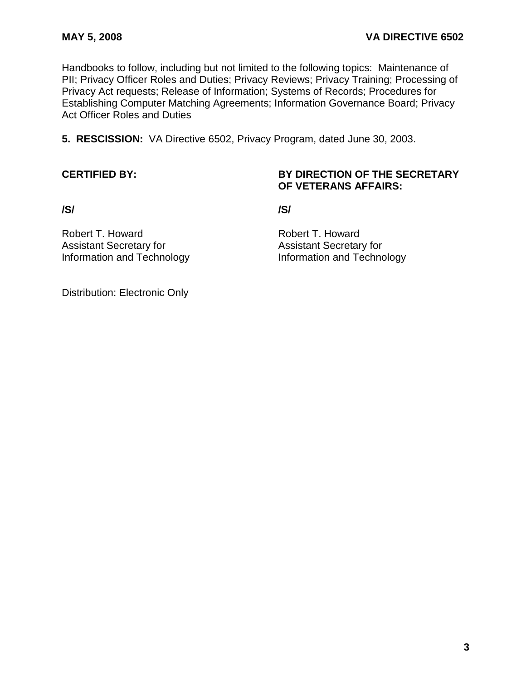Handbooks to follow, including but not limited to the following topics: Maintenance of PII; Privacy Officer Roles and Duties; Privacy Reviews; Privacy Training; Processing of Privacy Act requests; Release of Information; Systems of Records; Procedures for Establishing Computer Matching Agreements; Information Governance Board; Privacy Act Officer Roles and Duties

**5. RESCISSION:** VA Directive 6502, Privacy Program, dated June 30, 2003.

## **CERTIFIED BY: BY DIRECTION OF THE SECRETARY OF VETERANS AFFAIRS:**

**/S/ /S/**

Robert T. Howard **Robert T. Howard** Assistant Secretary for **Assistant Secretary for** 

Information and Technology Information and Technology

Distribution: Electronic Only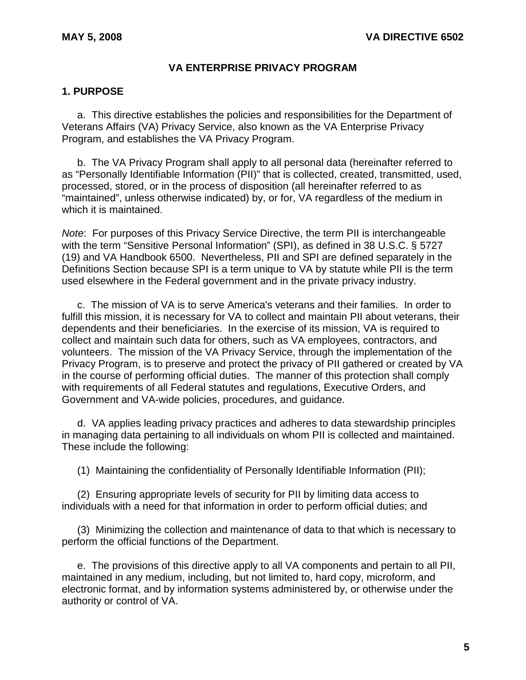## **VA ENTERPRISE PRIVACY PROGRAM**

## **1. PURPOSE**

a. This directive establishes the policies and responsibilities for the Department of Veterans Affairs (VA) Privacy Service, also known as the VA Enterprise Privacy Program, and establishes the VA Privacy Program.

b. The VA Privacy Program shall apply to all personal data (hereinafter referred to as "Personally Identifiable Information (PII)" that is collected, created, transmitted, used, processed, stored, or in the process of disposition (all hereinafter referred to as "maintained", unless otherwise indicated) by, or for, VA regardless of the medium in which it is maintained.

*Note*: For purposes of this Privacy Service Directive, the term PII is interchangeable with the term "Sensitive Personal Information" (SPI), as defined in 38 U.S.C. § 5727 (19) and VA Handbook 6500. Nevertheless, PII and SPI are defined separately in the Definitions Section because SPI is a term unique to VA by statute while PII is the term used elsewhere in the Federal government and in the private privacy industry.

c. The mission of VA is to serve America's veterans and their families. In order to fulfill this mission, it is necessary for VA to collect and maintain PII about veterans, their dependents and their beneficiaries. In the exercise of its mission, VA is required to collect and maintain such data for others, such as VA employees, contractors, and volunteers. The mission of the VA Privacy Service, through the implementation of the Privacy Program, is to preserve and protect the privacy of PII gathered or created by VA in the course of performing official duties. The manner of this protection shall comply with requirements of all Federal statutes and regulations, Executive Orders, and Government and VA-wide policies, procedures, and guidance.

d. VA applies leading privacy practices and adheres to data stewardship principles in managing data pertaining to all individuals on whom PII is collected and maintained. These include the following:

(1) Maintaining the confidentiality of Personally Identifiable Information (PII);

(2) Ensuring appropriate levels of security for PII by limiting data access to individuals with a need for that information in order to perform official duties; and

(3) Minimizing the collection and maintenance of data to that which is necessary to perform the official functions of the Department.

e. The provisions of this directive apply to all VA components and pertain to all PII, maintained in any medium, including, but not limited to, hard copy, microform, and electronic format, and by information systems administered by, or otherwise under the authority or control of VA.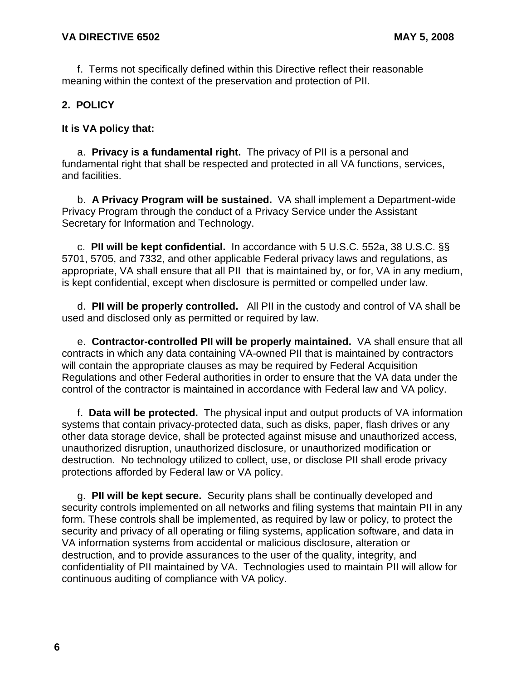f. Terms not specifically defined within this Directive reflect their reasonable meaning within the context of the preservation and protection of PII.

# **2. POLICY**

# **It is VA policy that:**

a. **Privacy is a fundamental right.** The privacy of PII is a personal and fundamental right that shall be respected and protected in all VA functions, services, and facilities.

b. **A Privacy Program will be sustained.** VA shall implement a Department-wide Privacy Program through the conduct of a Privacy Service under the Assistant Secretary for Information and Technology.

c. **PII will be kept confidential.** In accordance with 5 U.S.C. 552a, 38 U.S.C. §§ 5701, 5705, and 7332, and other applicable Federal privacy laws and regulations, as appropriate, VA shall ensure that all PII that is maintained by, or for, VA in any medium, is kept confidential, except when disclosure is permitted or compelled under law.

d. **PII will be properly controlled.** All PII in the custody and control of VA shall be used and disclosed only as permitted or required by law.

e. **Contractor-controlled PII will be properly maintained.** VA shall ensure that all contracts in which any data containing VA-owned PII that is maintained by contractors will contain the appropriate clauses as may be required by Federal Acquisition Regulations and other Federal authorities in order to ensure that the VA data under the control of the contractor is maintained in accordance with Federal law and VA policy.

f. **Data will be protected.** The physical input and output products of VA information systems that contain privacy-protected data, such as disks, paper, flash drives or any other data storage device, shall be protected against misuse and unauthorized access, unauthorized disruption, unauthorized disclosure, or unauthorized modification or destruction. No technology utilized to collect, use, or disclose PII shall erode privacy protections afforded by Federal law or VA policy.

g. **PII will be kept secure.** Security plans shall be continually developed and security controls implemented on all networks and filing systems that maintain PII in any form. These controls shall be implemented, as required by law or policy, to protect the security and privacy of all operating or filing systems, application software, and data in VA information systems from accidental or malicious disclosure, alteration or destruction, and to provide assurances to the user of the quality, integrity, and confidentiality of PII maintained by VA. Technologies used to maintain PII will allow for continuous auditing of compliance with VA policy.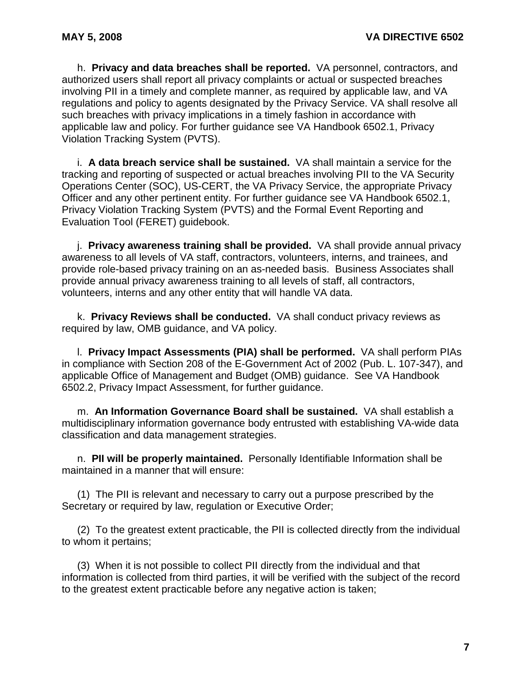h. **Privacy and data breaches shall be reported.** VA personnel, contractors, and authorized users shall report all privacy complaints or actual or suspected breaches involving PII in a timely and complete manner, as required by applicable law, and VA regulations and policy to agents designated by the Privacy Service. VA shall resolve all such breaches with privacy implications in a timely fashion in accordance with applicable law and policy. For further guidance see VA Handbook 6502.1, Privacy Violation Tracking System (PVTS).

i. **A data breach service shall be sustained.** VA shall maintain a service for the tracking and reporting of suspected or actual breaches involving PII to the VA Security Operations Center (SOC), US-CERT, the VA Privacy Service, the appropriate Privacy Officer and any other pertinent entity. For further guidance see VA Handbook 6502.1, Privacy Violation Tracking System (PVTS) and the Formal Event Reporting and Evaluation Tool (FERET) guidebook.

j. **Privacy awareness training shall be provided.** VA shall provide annual privacy awareness to all levels of VA staff, contractors, volunteers, interns, and trainees, and provide role-based privacy training on an as-needed basis. Business Associates shall provide annual privacy awareness training to all levels of staff, all contractors, volunteers, interns and any other entity that will handle VA data.

k. **Privacy Reviews shall be conducted.** VA shall conduct privacy reviews as required by law, OMB guidance, and VA policy.

l. **Privacy Impact Assessments (PIA) shall be performed.** VA shall perform PIAs in compliance with Section 208 of the E-Government Act of 2002 (Pub. L. 107-347), and applicable Office of Management and Budget (OMB) guidance. See VA Handbook 6502.2, Privacy Impact Assessment, for further guidance.

m. **An Information Governance Board shall be sustained.** VA shall establish a multidisciplinary information governance body entrusted with establishing VA-wide data classification and data management strategies.

n. **PII will be properly maintained.** Personally Identifiable Information shall be maintained in a manner that will ensure:

(1) The PII is relevant and necessary to carry out a purpose prescribed by the Secretary or required by law, regulation or Executive Order;

(2) To the greatest extent practicable, the PII is collected directly from the individual to whom it pertains;

(3) When it is not possible to collect PII directly from the individual and that information is collected from third parties, it will be verified with the subject of the record to the greatest extent practicable before any negative action is taken;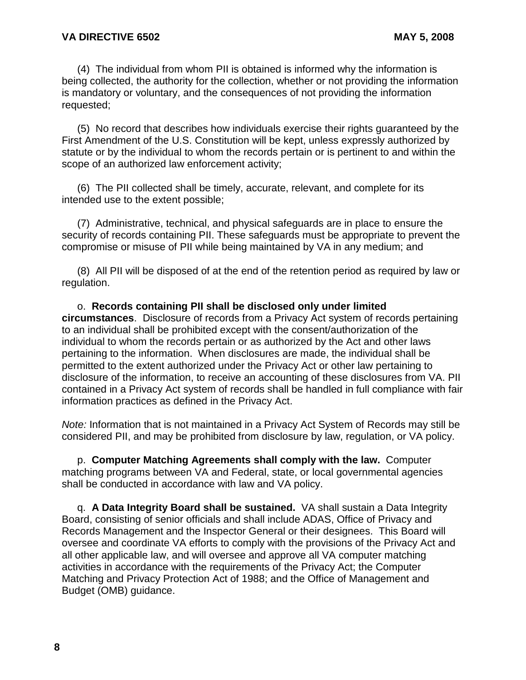(4) The individual from whom PII is obtained is informed why the information is being collected, the authority for the collection, whether or not providing the information is mandatory or voluntary, and the consequences of not providing the information requested;

(5) No record that describes how individuals exercise their rights guaranteed by the First Amendment of the U.S. Constitution will be kept, unless expressly authorized by statute or by the individual to whom the records pertain or is pertinent to and within the scope of an authorized law enforcement activity;

(6) The PII collected shall be timely, accurate, relevant, and complete for its intended use to the extent possible;

(7) Administrative, technical, and physical safeguards are in place to ensure the security of records containing PII. These safeguards must be appropriate to prevent the compromise or misuse of PII while being maintained by VA in any medium; and

(8) All PII will be disposed of at the end of the retention period as required by law or regulation.

o. **Records containing PII shall be disclosed only under limited circumstances**. Disclosure of records from a Privacy Act system of records pertaining to an individual shall be prohibited except with the consent/authorization of the individual to whom the records pertain or as authorized by the Act and other laws pertaining to the information. When disclosures are made, the individual shall be permitted to the extent authorized under the Privacy Act or other law pertaining to disclosure of the information, to receive an accounting of these disclosures from VA. PII contained in a Privacy Act system of records shall be handled in full compliance with fair information practices as defined in the Privacy Act.

*Note:* Information that is not maintained in a Privacy Act System of Records may still be considered PII, and may be prohibited from disclosure by law, regulation, or VA policy.

p. **Computer Matching Agreements shall comply with the law.** Computer matching programs between VA and Federal, state, or local governmental agencies shall be conducted in accordance with law and VA policy.

q. **A Data Integrity Board shall be sustained.** VA shall sustain a Data Integrity Board, consisting of senior officials and shall include ADAS, Office of Privacy and Records Management and the Inspector General or their designees. This Board will oversee and coordinate VA efforts to comply with the provisions of the Privacy Act and all other applicable law, and will oversee and approve all VA computer matching activities in accordance with the requirements of the Privacy Act; the Computer Matching and Privacy Protection Act of 1988; and the Office of Management and Budget (OMB) guidance.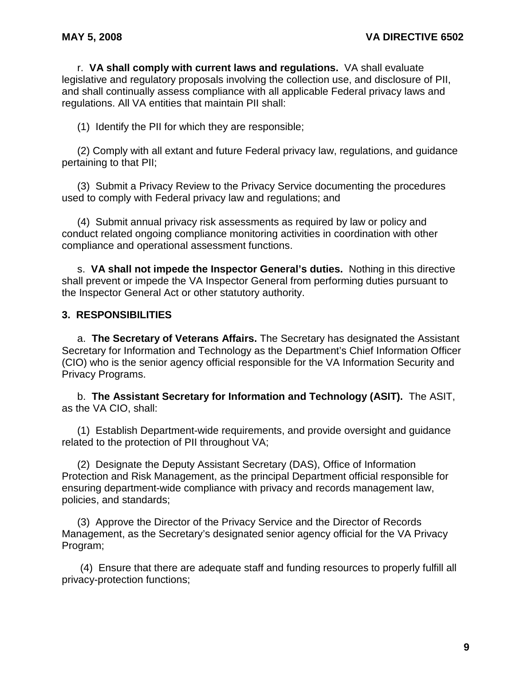r. **VA shall comply with current laws and regulations.** VA shall evaluate legislative and regulatory proposals involving the collection use, and disclosure of PII, and shall continually assess compliance with all applicable Federal privacy laws and regulations. All VA entities that maintain PII shall:

(1) Identify the PII for which they are responsible;

(2) Comply with all extant and future Federal privacy law, regulations, and guidance pertaining to that PII;

(3) Submit a Privacy Review to the Privacy Service documenting the procedures used to comply with Federal privacy law and regulations; and

(4) Submit annual privacy risk assessments as required by law or policy and conduct related ongoing compliance monitoring activities in coordination with other compliance and operational assessment functions.

s. **VA shall not impede the Inspector General's duties.** Nothing in this directive shall prevent or impede the VA Inspector General from performing duties pursuant to the Inspector General Act or other statutory authority.

# **3. RESPONSIBILITIES**

a. **The Secretary of Veterans Affairs.** The Secretary has designated the Assistant Secretary for Information and Technology as the Department's Chief Information Officer (CIO) who is the senior agency official responsible for the VA Information Security and Privacy Programs.

b. **The Assistant Secretary for Information and Technology (ASIT).** The ASIT, as the VA CIO, shall:

(1) Establish Department-wide requirements, and provide oversight and guidance related to the protection of PII throughout VA;

(2) Designate the Deputy Assistant Secretary (DAS), Office of Information Protection and Risk Management, as the principal Department official responsible for ensuring department-wide compliance with privacy and records management law, policies, and standards;

(3) Approve the Director of the Privacy Service and the Director of Records Management, as the Secretary's designated senior agency official for the VA Privacy Program;

(4) Ensure that there are adequate staff and funding resources to properly fulfill all privacy-protection functions;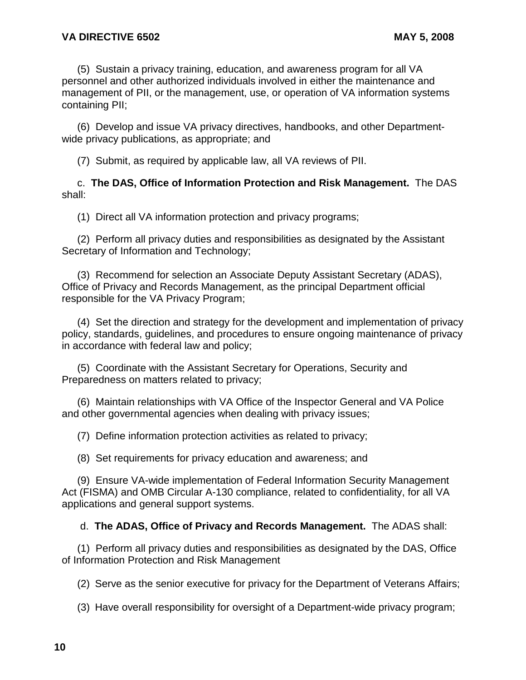(5) Sustain a privacy training, education, and awareness program for all VA personnel and other authorized individuals involved in either the maintenance and management of PII, or the management, use, or operation of VA information systems containing PII;

(6) Develop and issue VA privacy directives, handbooks, and other Departmentwide privacy publications, as appropriate; and

(7) Submit, as required by applicable law, all VA reviews of PII.

c. **The DAS, Office of Information Protection and Risk Management.** The DAS shall:

(1) Direct all VA information protection and privacy programs;

(2) Perform all privacy duties and responsibilities as designated by the Assistant Secretary of Information and Technology;

(3) Recommend for selection an Associate Deputy Assistant Secretary (ADAS), Office of Privacy and Records Management, as the principal Department official responsible for the VA Privacy Program;

(4) Set the direction and strategy for the development and implementation of privacy policy, standards, guidelines, and procedures to ensure ongoing maintenance of privacy in accordance with federal law and policy;

(5) Coordinate with the Assistant Secretary for Operations, Security and Preparedness on matters related to privacy;

(6) Maintain relationships with VA Office of the Inspector General and VA Police and other governmental agencies when dealing with privacy issues;

(7) Define information protection activities as related to privacy;

(8) Set requirements for privacy education and awareness; and

(9) Ensure VA-wide implementation of Federal Information Security Management Act (FISMA) and OMB Circular A-130 compliance, related to confidentiality, for all VA applications and general support systems.

d. **The ADAS, Office of Privacy and Records Management.** The ADAS shall:

(1) Perform all privacy duties and responsibilities as designated by the DAS, Office of Information Protection and Risk Management

(2) Serve as the senior executive for privacy for the Department of Veterans Affairs;

(3) Have overall responsibility for oversight of a Department-wide privacy program;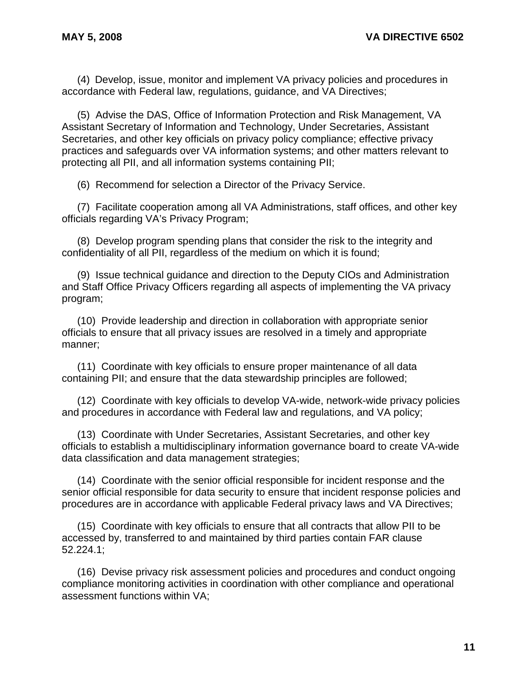(4) Develop, issue, monitor and implement VA privacy policies and procedures in accordance with Federal law, regulations, guidance, and VA Directives;

(5) Advise the DAS, Office of Information Protection and Risk Management, VA Assistant Secretary of Information and Technology, Under Secretaries, Assistant Secretaries, and other key officials on privacy policy compliance; effective privacy practices and safeguards over VA information systems; and other matters relevant to protecting all PII, and all information systems containing PII;

(6) Recommend for selection a Director of the Privacy Service.

(7) Facilitate cooperation among all VA Administrations, staff offices, and other key officials regarding VA's Privacy Program;

(8) Develop program spending plans that consider the risk to the integrity and confidentiality of all PII, regardless of the medium on which it is found;

(9) Issue technical guidance and direction to the Deputy CIOs and Administration and Staff Office Privacy Officers regarding all aspects of implementing the VA privacy program;

(10) Provide leadership and direction in collaboration with appropriate senior officials to ensure that all privacy issues are resolved in a timely and appropriate manner;

(11) Coordinate with key officials to ensure proper maintenance of all data containing PII; and ensure that the data stewardship principles are followed;

(12) Coordinate with key officials to develop VA-wide, network-wide privacy policies and procedures in accordance with Federal law and regulations, and VA policy;

(13) Coordinate with Under Secretaries, Assistant Secretaries, and other key officials to establish a multidisciplinary information governance board to create VA-wide data classification and data management strategies;

(14) Coordinate with the senior official responsible for incident response and the senior official responsible for data security to ensure that incident response policies and procedures are in accordance with applicable Federal privacy laws and VA Directives;

(15) Coordinate with key officials to ensure that all contracts that allow PII to be accessed by, transferred to and maintained by third parties contain FAR clause 52.224.1;

(16) Devise privacy risk assessment policies and procedures and conduct ongoing compliance monitoring activities in coordination with other compliance and operational assessment functions within VA;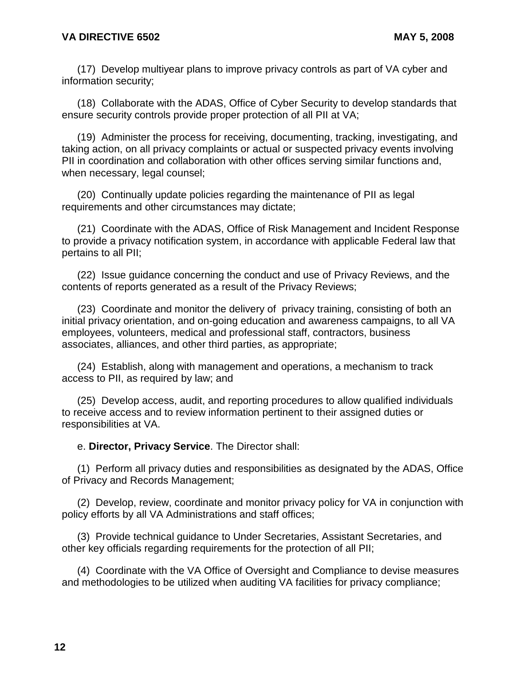(17) Develop multiyear plans to improve privacy controls as part of VA cyber and information security;

(18) Collaborate with the ADAS, Office of Cyber Security to develop standards that ensure security controls provide proper protection of all PII at VA;

(19) Administer the process for receiving, documenting, tracking, investigating, and taking action, on all privacy complaints or actual or suspected privacy events involving PII in coordination and collaboration with other offices serving similar functions and, when necessary, legal counsel;

(20) Continually update policies regarding the maintenance of PII as legal requirements and other circumstances may dictate;

(21) Coordinate with the ADAS, Office of Risk Management and Incident Response to provide a privacy notification system, in accordance with applicable Federal law that pertains to all PII;

(22) Issue guidance concerning the conduct and use of Privacy Reviews, and the contents of reports generated as a result of the Privacy Reviews;

(23) Coordinate and monitor the delivery of privacy training, consisting of both an initial privacy orientation, and on-going education and awareness campaigns, to all VA employees, volunteers, medical and professional staff, contractors, business associates, alliances, and other third parties, as appropriate;

(24) Establish, along with management and operations, a mechanism to track access to PII, as required by law; and

(25) Develop access, audit, and reporting procedures to allow qualified individuals to receive access and to review information pertinent to their assigned duties or responsibilities at VA.

e. **Director, Privacy Service**. The Director shall:

(1) Perform all privacy duties and responsibilities as designated by the ADAS, Office of Privacy and Records Management;

(2) Develop, review, coordinate and monitor privacy policy for VA in conjunction with policy efforts by all VA Administrations and staff offices;

(3) Provide technical guidance to Under Secretaries, Assistant Secretaries, and other key officials regarding requirements for the protection of all PII;

(4) Coordinate with the VA Office of Oversight and Compliance to devise measures and methodologies to be utilized when auditing VA facilities for privacy compliance;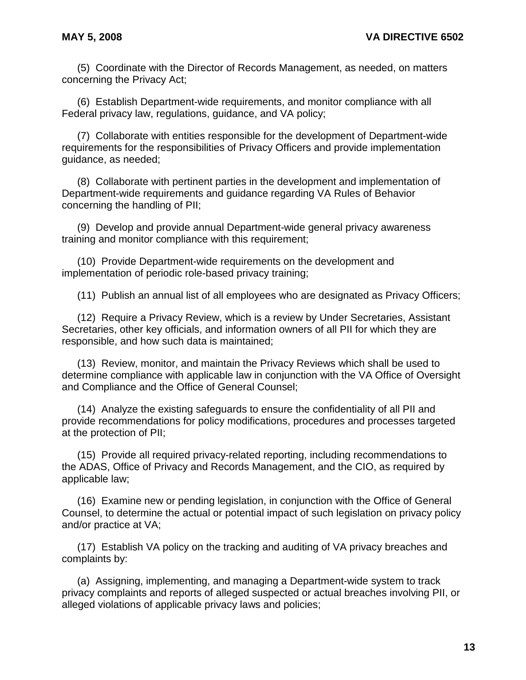(5) Coordinate with the Director of Records Management, as needed, on matters concerning the Privacy Act;

(6) Establish Department-wide requirements, and monitor compliance with all Federal privacy law, regulations, guidance, and VA policy;

(7) Collaborate with entities responsible for the development of Department-wide requirements for the responsibilities of Privacy Officers and provide implementation guidance, as needed;

(8) Collaborate with pertinent parties in the development and implementation of Department-wide requirements and guidance regarding VA Rules of Behavior concerning the handling of PII;

(9) Develop and provide annual Department-wide general privacy awareness training and monitor compliance with this requirement;

(10) Provide Department-wide requirements on the development and implementation of periodic role-based privacy training;

(11) Publish an annual list of all employees who are designated as Privacy Officers;

(12) Require a Privacy Review, which is a review by Under Secretaries, Assistant Secretaries, other key officials, and information owners of all PII for which they are responsible, and how such data is maintained;

(13) Review, monitor, and maintain the Privacy Reviews which shall be used to determine compliance with applicable law in conjunction with the VA Office of Oversight and Compliance and the Office of General Counsel;

(14) Analyze the existing safeguards to ensure the confidentiality of all PII and provide recommendations for policy modifications, procedures and processes targeted at the protection of PII;

(15) Provide all required privacy-related reporting, including recommendations to the ADAS, Office of Privacy and Records Management, and the CIO, as required by applicable law;

(16) Examine new or pending legislation, in conjunction with the Office of General Counsel, to determine the actual or potential impact of such legislation on privacy policy and/or practice at VA;

(17) Establish VA policy on the tracking and auditing of VA privacy breaches and complaints by:

(a) Assigning, implementing, and managing a Department-wide system to track privacy complaints and reports of alleged suspected or actual breaches involving PII, or alleged violations of applicable privacy laws and policies;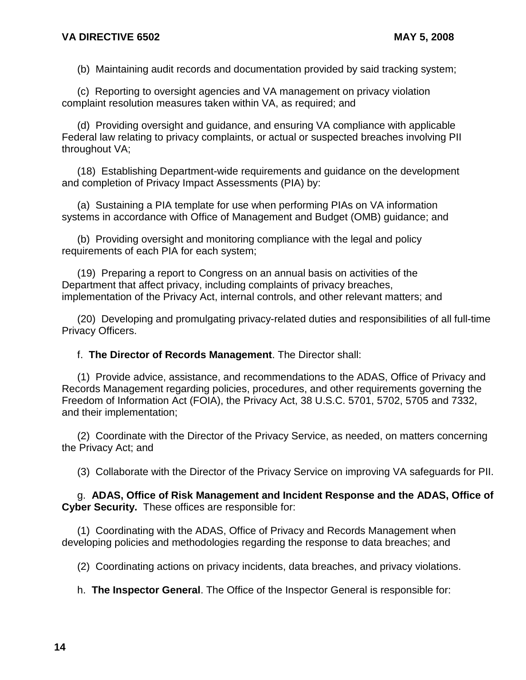(b) Maintaining audit records and documentation provided by said tracking system;

(c) Reporting to oversight agencies and VA management on privacy violation complaint resolution measures taken within VA, as required; and

(d) Providing oversight and guidance, and ensuring VA compliance with applicable Federal law relating to privacy complaints, or actual or suspected breaches involving PII throughout VA;

(18) Establishing Department-wide requirements and guidance on the development and completion of Privacy Impact Assessments (PIA) by:

(a) Sustaining a PIA template for use when performing PIAs on VA information systems in accordance with Office of Management and Budget (OMB) guidance; and

(b) Providing oversight and monitoring compliance with the legal and policy requirements of each PIA for each system;

(19) Preparing a report to Congress on an annual basis on activities of the Department that affect privacy, including complaints of privacy breaches, implementation of the Privacy Act, internal controls, and other relevant matters; and

(20) Developing and promulgating privacy-related duties and responsibilities of all full-time Privacy Officers.

f. **The Director of Records Management**. The Director shall:

(1) Provide advice, assistance, and recommendations to the ADAS, Office of Privacy and Records Management regarding policies, procedures, and other requirements governing the Freedom of Information Act (FOIA), the Privacy Act, 38 U.S.C. 5701, 5702, 5705 and 7332, and their implementation;

(2) Coordinate with the Director of the Privacy Service, as needed, on matters concerning the Privacy Act; and

(3) Collaborate with the Director of the Privacy Service on improving VA safeguards for PII.

## g. **ADAS, Office of Risk Management and Incident Response and the ADAS, Office of Cyber Security.** These offices are responsible for:

(1) Coordinating with the ADAS, Office of Privacy and Records Management when developing policies and methodologies regarding the response to data breaches; and

(2) Coordinating actions on privacy incidents, data breaches, and privacy violations.

h. **The Inspector General**. The Office of the Inspector General is responsible for: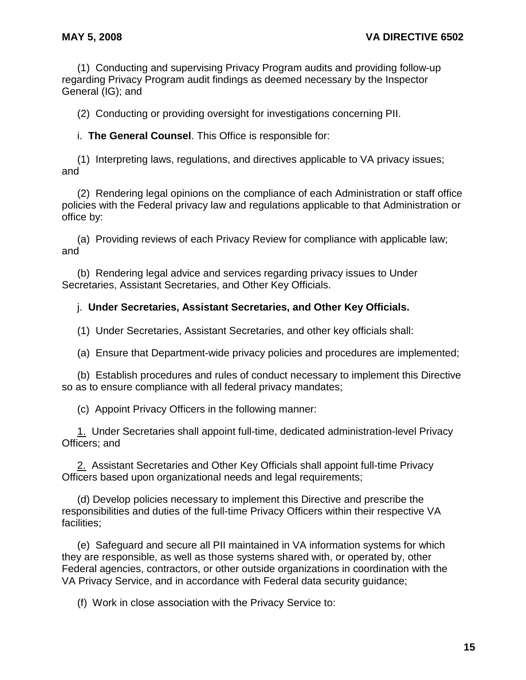(1) Conducting and supervising Privacy Program audits and providing follow-up regarding Privacy Program audit findings as deemed necessary by the Inspector General (IG); and

(2) Conducting or providing oversight for investigations concerning PII.

i. **The General Counsel**. This Office is responsible for:

(1) Interpreting laws, regulations, and directives applicable to VA privacy issues; and

(2) Rendering legal opinions on the compliance of each Administration or staff office policies with the Federal privacy law and regulations applicable to that Administration or office by:

(a) Providing reviews of each Privacy Review for compliance with applicable law; and

(b) Rendering legal advice and services regarding privacy issues to Under Secretaries, Assistant Secretaries, and Other Key Officials.

#### j. **Under Secretaries, Assistant Secretaries, and Other Key Officials.**

(1) Under Secretaries, Assistant Secretaries, and other key officials shall:

(a) Ensure that Department-wide privacy policies and procedures are implemented;

(b) Establish procedures and rules of conduct necessary to implement this Directive so as to ensure compliance with all federal privacy mandates;

(c) Appoint Privacy Officers in the following manner:

1. Under Secretaries shall appoint full-time, dedicated administration-level Privacy Officers; and

2. Assistant Secretaries and Other Key Officials shall appoint full-time Privacy Officers based upon organizational needs and legal requirements;

(d) Develop policies necessary to implement this Directive and prescribe the responsibilities and duties of the full-time Privacy Officers within their respective VA facilities;

(e) Safeguard and secure all PII maintained in VA information systems for which they are responsible, as well as those systems shared with, or operated by, other Federal agencies, contractors, or other outside organizations in coordination with the VA Privacy Service, and in accordance with Federal data security guidance;

(f) Work in close association with the Privacy Service to: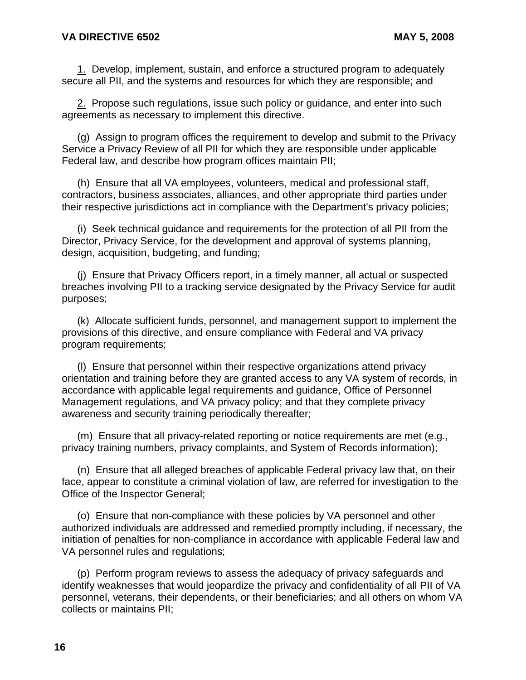1. Develop, implement, sustain, and enforce a structured program to adequately secure all PII, and the systems and resources for which they are responsible; and

2. Propose such regulations, issue such policy or guidance, and enter into such agreements as necessary to implement this directive.

(g) Assign to program offices the requirement to develop and submit to the Privacy Service a Privacy Review of all PII for which they are responsible under applicable Federal law, and describe how program offices maintain PII;

(h) Ensure that all VA employees, volunteers, medical and professional staff, contractors, business associates, alliances, and other appropriate third parties under their respective jurisdictions act in compliance with the Department's privacy policies;

(i) Seek technical guidance and requirements for the protection of all PII from the Director, Privacy Service, for the development and approval of systems planning, design, acquisition, budgeting, and funding;

(j) Ensure that Privacy Officers report, in a timely manner, all actual or suspected breaches involving PII to a tracking service designated by the Privacy Service for audit purposes;

(k) Allocate sufficient funds, personnel, and management support to implement the provisions of this directive, and ensure compliance with Federal and VA privacy program requirements;

(l) Ensure that personnel within their respective organizations attend privacy orientation and training before they are granted access to any VA system of records, in accordance with applicable legal requirements and guidance, Office of Personnel Management regulations, and VA privacy policy; and that they complete privacy awareness and security training periodically thereafter;

(m) Ensure that all privacy-related reporting or notice requirements are met (e.g., privacy training numbers, privacy complaints, and System of Records information);

(n) Ensure that all alleged breaches of applicable Federal privacy law that, on their face, appear to constitute a criminal violation of law, are referred for investigation to the Office of the Inspector General;

(o) Ensure that non-compliance with these policies by VA personnel and other authorized individuals are addressed and remedied promptly including, if necessary, the initiation of penalties for non-compliance in accordance with applicable Federal law and VA personnel rules and regulations;

(p) Perform program reviews to assess the adequacy of privacy safeguards and identify weaknesses that would jeopardize the privacy and confidentiality of all PII of VA personnel, veterans, their dependents, or their beneficiaries; and all others on whom VA collects or maintains PII;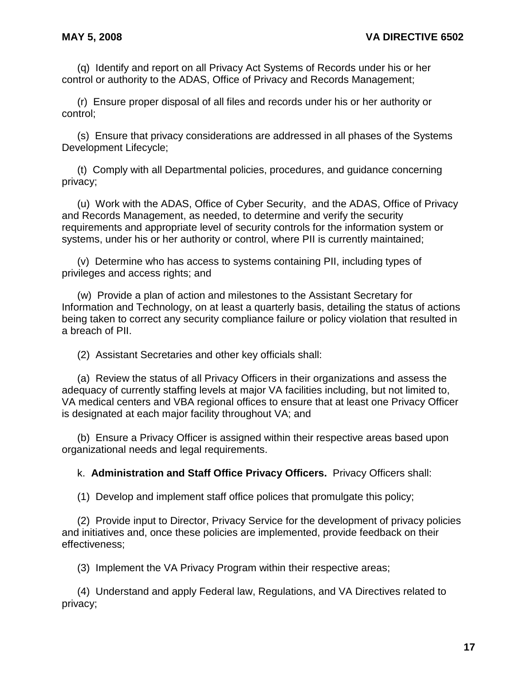(q) Identify and report on all Privacy Act Systems of Records under his or her control or authority to the ADAS, Office of Privacy and Records Management;

(r) Ensure proper disposal of all files and records under his or her authority or control;

(s) Ensure that privacy considerations are addressed in all phases of the Systems Development Lifecycle;

(t) Comply with all Departmental policies, procedures, and guidance concerning privacy;

(u) Work with the ADAS, Office of Cyber Security, and the ADAS, Office of Privacy and Records Management, as needed, to determine and verify the security requirements and appropriate level of security controls for the information system or systems, under his or her authority or control, where PII is currently maintained;

(v) Determine who has access to systems containing PII, including types of privileges and access rights; and

(w) Provide a plan of action and milestones to the Assistant Secretary for Information and Technology, on at least a quarterly basis, detailing the status of actions being taken to correct any security compliance failure or policy violation that resulted in a breach of PII.

(2) Assistant Secretaries and other key officials shall:

(a) Review the status of all Privacy Officers in their organizations and assess the adequacy of currently staffing levels at major VA facilities including, but not limited to, VA medical centers and VBA regional offices to ensure that at least one Privacy Officer is designated at each major facility throughout VA; and

(b) Ensure a Privacy Officer is assigned within their respective areas based upon organizational needs and legal requirements.

k. **Administration and Staff Office Privacy Officers.** Privacy Officers shall:

(1) Develop and implement staff office polices that promulgate this policy;

(2) Provide input to Director, Privacy Service for the development of privacy policies and initiatives and, once these policies are implemented, provide feedback on their effectiveness;

(3) Implement the VA Privacy Program within their respective areas;

(4) Understand and apply Federal law, Regulations, and VA Directives related to privacy;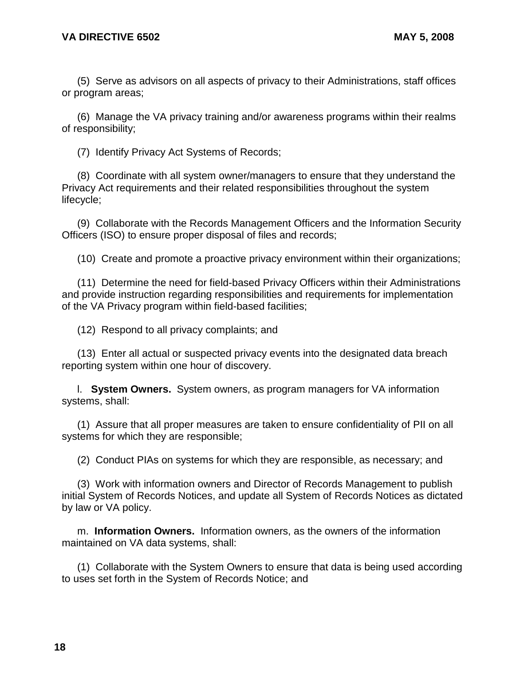(5) Serve as advisors on all aspects of privacy to their Administrations, staff offices or program areas;

(6) Manage the VA privacy training and/or awareness programs within their realms of responsibility;

(7) Identify Privacy Act Systems of Records;

(8) Coordinate with all system owner/managers to ensure that they understand the Privacy Act requirements and their related responsibilities throughout the system lifecycle;

(9) Collaborate with the Records Management Officers and the Information Security Officers (ISO) to ensure proper disposal of files and records;

(10) Create and promote a proactive privacy environment within their organizations;

(11) Determine the need for field-based Privacy Officers within their Administrations and provide instruction regarding responsibilities and requirements for implementation of the VA Privacy program within field-based facilities;

(12) Respond to all privacy complaints; and

(13) Enter all actual or suspected privacy events into the designated data breach reporting system within one hour of discovery.

l. **System Owners.** System owners, as program managers for VA information systems, shall:

(1) Assure that all proper measures are taken to ensure confidentiality of PII on all systems for which they are responsible;

(2) Conduct PIAs on systems for which they are responsible, as necessary; and

(3) Work with information owners and Director of Records Management to publish initial System of Records Notices, and update all System of Records Notices as dictated by law or VA policy.

m. **Information Owners.** Information owners, as the owners of the information maintained on VA data systems, shall:

(1) Collaborate with the System Owners to ensure that data is being used according to uses set forth in the System of Records Notice; and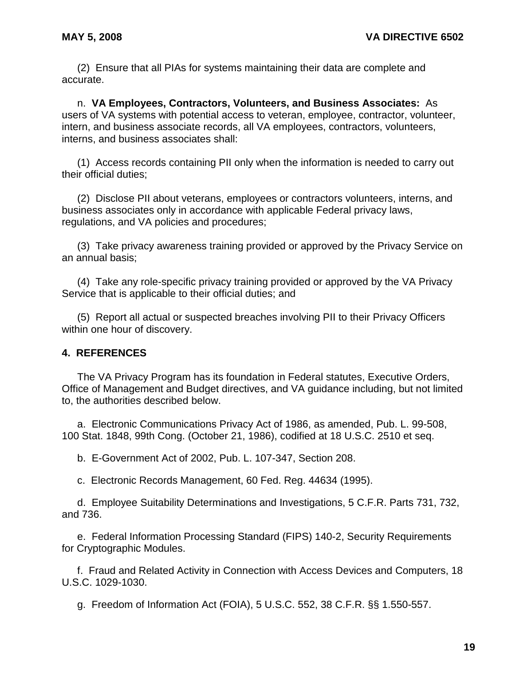(2) Ensure that all PIAs for systems maintaining their data are complete and accurate.

n. **VA Employees, Contractors, Volunteers, and Business Associates:** As users of VA systems with potential access to veteran, employee, contractor, volunteer, intern, and business associate records, all VA employees, contractors, volunteers, interns, and business associates shall:

(1) Access records containing PII only when the information is needed to carry out their official duties;

(2) Disclose PII about veterans, employees or contractors volunteers, interns, and business associates only in accordance with applicable Federal privacy laws, regulations, and VA policies and procedures;

(3) Take privacy awareness training provided or approved by the Privacy Service on an annual basis;

(4) Take any role-specific privacy training provided or approved by the VA Privacy Service that is applicable to their official duties; and

(5) Report all actual or suspected breaches involving PII to their Privacy Officers within one hour of discovery.

## **4. REFERENCES**

The VA Privacy Program has its foundation in Federal statutes, Executive Orders, Office of Management and Budget directives, and VA guidance including, but not limited to, the authorities described below.

a. Electronic Communications Privacy Act of 1986, as amended, Pub. L. 99-508, 100 Stat. 1848, 99th Cong. (October 21, 1986), codified at 18 U.S.C. 2510 et seq.

b. E-Government Act of 2002, Pub. L. 107-347, Section 208.

c. Electronic Records Management, 60 Fed. Reg. 44634 (1995).

d. Employee Suitability Determinations and Investigations, 5 C.F.R. Parts 731, 732, and 736.

e. Federal Information Processing Standard (FIPS) 140-2, Security Requirements for Cryptographic Modules.

f. Fraud and Related Activity in Connection with Access Devices and Computers, 18 U.S.C. 1029-1030.

g. Freedom of Information Act (FOIA), 5 U.S.C. 552, 38 C.F.R. §§ 1.550-557.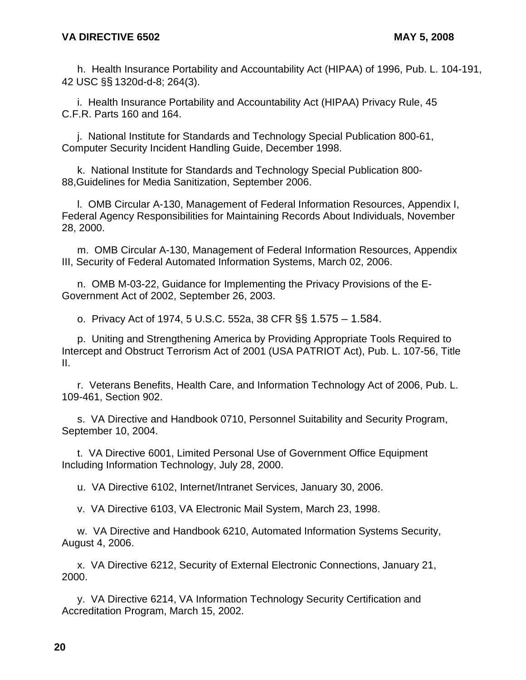h. Health Insurance Portability and Accountability Act (HIPAA) of 1996, Pub. L. 104-191, 42 USC §§ 1320d-d-8; 264(3).

i. Health Insurance Portability and Accountability Act (HIPAA) Privacy Rule, 45 C.F.R. Parts 160 and 164.

j. National Institute for Standards and Technology Special Publication 800-61, Computer Security Incident Handling Guide, December 1998.

k. National Institute for Standards and Technology Special Publication 800- 88,Guidelines for Media Sanitization, September 2006.

l. OMB Circular A-130, Management of Federal Information Resources, Appendix I, Federal Agency Responsibilities for Maintaining Records About Individuals, November 28, 2000.

m. OMB Circular A-130, Management of Federal Information Resources, Appendix III, Security of Federal Automated Information Systems, March 02, 2006.

n. OMB M-03-22, Guidance for Implementing the Privacy Provisions of the E-Government Act of 2002, September 26, 2003.

o. Privacy Act of 1974, 5 U.S.C. 552a, 38 CFR §§ 1.575 – 1.584.

p. Uniting and Strengthening America by Providing Appropriate Tools Required to Intercept and Obstruct Terrorism Act of 2001 (USA PATRIOT Act), Pub. L. 107-56, Title II.

r. Veterans Benefits, Health Care, and Information Technology Act of 2006, Pub. L. 109-461, Section 902.

s. VA Directive and Handbook 0710, Personnel Suitability and Security Program, September 10, 2004.

t. VA Directive 6001, Limited Personal Use of Government Office Equipment Including Information Technology, July 28, 2000.

u. VA Directive 6102, Internet/Intranet Services, January 30, 2006.

v. VA Directive 6103, VA Electronic Mail System, March 23, 1998.

w. VA Directive and Handbook 6210, Automated Information Systems Security, August 4, 2006.

x. VA Directive 6212, Security of External Electronic Connections, January 21, 2000.

y. VA Directive 6214, VA Information Technology Security Certification and Accreditation Program, March 15, 2002.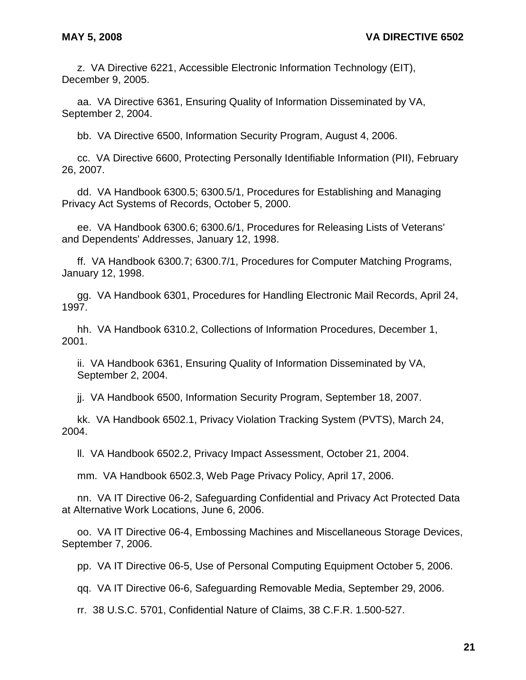z. VA Directive 6221, Accessible Electronic Information Technology (EIT), December 9, 2005.

aa. VA Directive 6361, Ensuring Quality of Information Disseminated by VA, September 2, 2004.

bb. VA Directive 6500, Information Security Program, August 4, 2006.

cc. VA Directive 6600, Protecting Personally Identifiable Information (PII), February 26, 2007.

dd. VA Handbook 6300.5; 6300.5/1, Procedures for Establishing and Managing Privacy Act Systems of Records, October 5, 2000.

ee. VA Handbook 6300.6; 6300.6/1, Procedures for Releasing Lists of Veterans' and Dependents' Addresses, January 12, 1998.

ff. VA Handbook 6300.7; 6300.7/1, Procedures for Computer Matching Programs, January 12, 1998.

gg. VA Handbook 6301, Procedures for Handling Electronic Mail Records, April 24, 1997.

hh. VA Handbook 6310.2, Collections of Information Procedures, December 1, 2001.

ii. VA Handbook 6361, Ensuring Quality of Information Disseminated by VA, September 2, 2004.

jj. VA Handbook 6500, Information Security Program, September 18, 2007.

kk. VA Handbook 6502.1, Privacy Violation Tracking System (PVTS), March 24, 2004.

ll. VA Handbook 6502.2, Privacy Impact Assessment, October 21, 2004.

mm. VA Handbook 6502.3, Web Page Privacy Policy, April 17, 2006.

nn. VA IT Directive 06-2, Safeguarding Confidential and Privacy Act Protected Data at Alternative Work Locations, June 6, 2006.

oo. VA IT Directive 06-4, Embossing Machines and Miscellaneous Storage Devices, September 7, 2006.

pp. VA IT Directive 06-5, Use of Personal Computing Equipment October 5, 2006.

qq. VA IT Directive 06-6, Safeguarding Removable Media, September 29, 2006.

rr. 38 U.S.C. 5701, Confidential Nature of Claims, 38 C.F.R. 1.500-527.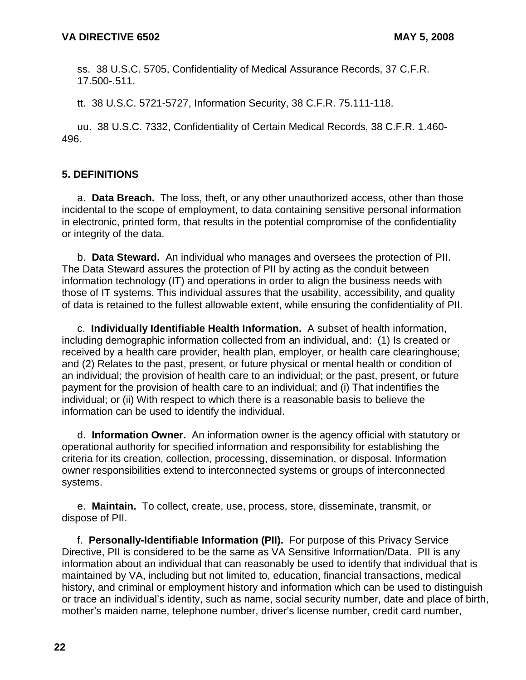ss. 38 U.S.C. 5705, Confidentiality of Medical Assurance Records, 37 C.F.R. 17.500-.511.

tt. 38 U.S.C. 5721-5727, Information Security, 38 C.F.R. 75.111-118.

uu. 38 U.S.C. 7332, Confidentiality of Certain Medical Records, 38 C.F.R. 1.460- 496.

# **5. DEFINITIONS**

a. **Data Breach.** The loss, theft, or any other unauthorized access, other than those incidental to the scope of employment, to data containing sensitive personal information in electronic, printed form, that results in the potential compromise of the confidentiality or integrity of the data.

b. **Data Steward.** An individual who manages and oversees the protection of PII. The Data Steward assures the protection of PII by acting as the conduit between information technology (IT) and operations in order to align the business needs with those of IT systems. This individual assures that the usability, accessibility, and quality of data is retained to the fullest allowable extent, while ensuring the confidentiality of PII.

c. **Individually Identifiable Health Information.** A subset of health information, including demographic information collected from an individual, and: (1) Is created or received by a health care provider, health plan, employer, or health care clearinghouse; and (2) Relates to the past, present, or future physical or mental health or condition of an individual; the provision of health care to an individual; or the past, present, or future payment for the provision of health care to an individual; and (i) That indentifies the individual; or (ii) With respect to which there is a reasonable basis to believe the information can be used to identify the individual.

d. **Information Owner.** An information owner is the agency official with statutory or operational authority for specified information and responsibility for establishing the criteria for its creation, collection, processing, dissemination, or disposal. Information owner responsibilities extend to interconnected systems or groups of interconnected systems.

e. **Maintain.** To collect, create, use, process, store, disseminate, transmit, or dispose of PII.

f. **Personally-Identifiable Information (PII).** For purpose of this Privacy Service Directive, PII is considered to be the same as VA Sensitive Information/Data. PII is any information about an individual that can reasonably be used to identify that individual that is maintained by VA, including but not limited to, education, financial transactions, medical history, and criminal or employment history and information which can be used to distinguish or trace an individual's identity, such as name, social security number, date and place of birth, mother's maiden name, telephone number, driver's license number, credit card number,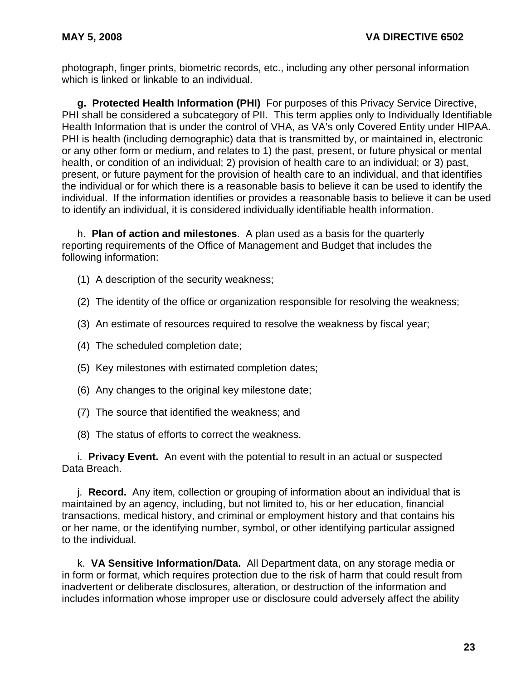photograph, finger prints, biometric records, etc., including any other personal information which is linked or linkable to an individual.

**g. Protected Health Information (PHI)** For purposes of this Privacy Service Directive, PHI shall be considered a subcategory of PII. This term applies only to Individually Identifiable Health Information that is under the control of VHA, as VA's only Covered Entity under HIPAA. PHI is health (including demographic) data that is transmitted by, or maintained in, electronic or any other form or medium, and relates to 1) the past, present, or future physical or mental health, or condition of an individual; 2) provision of health care to an individual; or 3) past, present, or future payment for the provision of health care to an individual, and that identifies the individual or for which there is a reasonable basis to believe it can be used to identify the individual. If the information identifies or provides a reasonable basis to believe it can be used to identify an individual, it is considered individually identifiable health information.

h. **Plan of action and milestones**. A plan used as a basis for the quarterly reporting requirements of the Office of Management and Budget that includes the following information:

- (1) A description of the security weakness;
- (2) The identity of the office or organization responsible for resolving the weakness;
- (3) An estimate of resources required to resolve the weakness by fiscal year;
- (4) The scheduled completion date;
- (5) Key milestones with estimated completion dates;
- (6) Any changes to the original key milestone date;
- (7) The source that identified the weakness; and
- (8) The status of efforts to correct the weakness.

i. **Privacy Event.** An event with the potential to result in an actual or suspected Data Breach.

j. **Record.** Any item, collection or grouping of information about an individual that is maintained by an agency, including, but not limited to, his or her education, financial transactions, medical history, and criminal or employment history and that contains his or her name, or the identifying number, symbol, or other identifying particular assigned to the individual.

k. **VA Sensitive Information/Data.** All Department data, on any storage media or in form or format, which requires protection due to the risk of harm that could result from inadvertent or deliberate disclosures, alteration, or destruction of the information and includes information whose improper use or disclosure could adversely affect the ability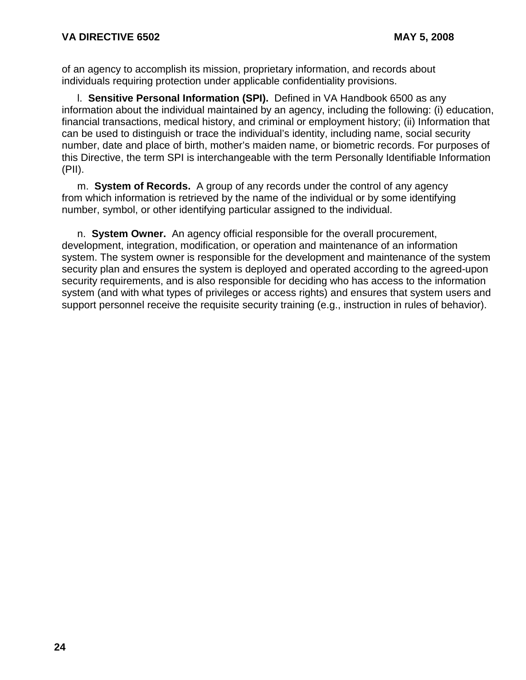of an agency to accomplish its mission, proprietary information, and records about individuals requiring protection under applicable confidentiality provisions.

l. **Sensitive Personal Information (SPI).** Defined in VA Handbook 6500 as any information about the individual maintained by an agency, including the following: (i) education, financial transactions, medical history, and criminal or employment history; (ii) Information that can be used to distinguish or trace the individual's identity, including name, social security number, date and place of birth, mother's maiden name, or biometric records. For purposes of this Directive, the term SPI is interchangeable with the term Personally Identifiable Information (PII).

m. **System of Records.** A group of any records under the control of any agency from which information is retrieved by the name of the individual or by some identifying number, symbol, or other identifying particular assigned to the individual.

n. **System Owner.** An agency official responsible for the overall procurement, development, integration, modification, or operation and maintenance of an information system. The system owner is responsible for the development and maintenance of the system security plan and ensures the system is deployed and operated according to the agreed-upon security requirements, and is also responsible for deciding who has access to the information system (and with what types of privileges or access rights) and ensures that system users and support personnel receive the requisite security training (e.g., instruction in rules of behavior).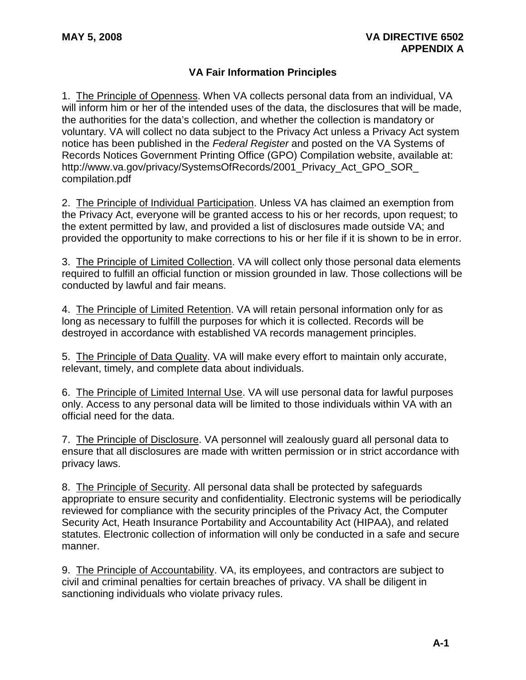# **VA Fair Information Principles**

1. The Principle of Openness. When VA collects personal data from an individual, VA will inform him or her of the intended uses of the data, the disclosures that will be made, the authorities for the data's collection, and whether the collection is mandatory or voluntary. VA will collect no data subject to the Privacy Act unless a Privacy Act system notice has been published in the *Federal Register* and posted on the VA Systems of Records Notices Government Printing Office (GPO) Compilation website, available at: http://www.va.gov/privacy/SystemsOfRecords/2001\_Privacy\_Act\_GPO\_SOR [compilation.pdf](http://www.va.gov/privacy/SystemsOfRecords/2001_Privacy_Act_GPO_SOR_ compilation.pdf)

2. The Principle of Individual Participation. Unless VA has claimed an exemption from the Privacy Act, everyone will be granted access to his or her records, upon request; to the extent permitted by law, and provided a list of disclosures made outside VA; and provided the opportunity to make corrections to his or her file if it is shown to be in error.

3. The Principle of Limited Collection. VA will collect only those personal data elements required to fulfill an official function or mission grounded in law. Those collections will be conducted by lawful and fair means.

4. The Principle of Limited Retention. VA will retain personal information only for as long as necessary to fulfill the purposes for which it is collected. Records will be destroyed in accordance with established VA records management principles.

5. The Principle of Data Quality. VA will make every effort to maintain only accurate, relevant, timely, and complete data about individuals.

6. The Principle of Limited Internal Use. VA will use personal data for lawful purposes only. Access to any personal data will be limited to those individuals within VA with an official need for the data.

7. The Principle of Disclosure. VA personnel will zealously guard all personal data to ensure that all disclosures are made with written permission or in strict accordance with privacy laws.

8. The Principle of Security. All personal data shall be protected by safeguards appropriate to ensure security and confidentiality. Electronic systems will be periodically reviewed for compliance with the security principles of the Privacy Act, the Computer Security Act, Heath Insurance Portability and Accountability Act (HIPAA), and related statutes. Electronic collection of information will only be conducted in a safe and secure manner.

9. The Principle of Accountability. VA, its employees, and contractors are subject to civil and criminal penalties for certain breaches of privacy. VA shall be diligent in sanctioning individuals who violate privacy rules.